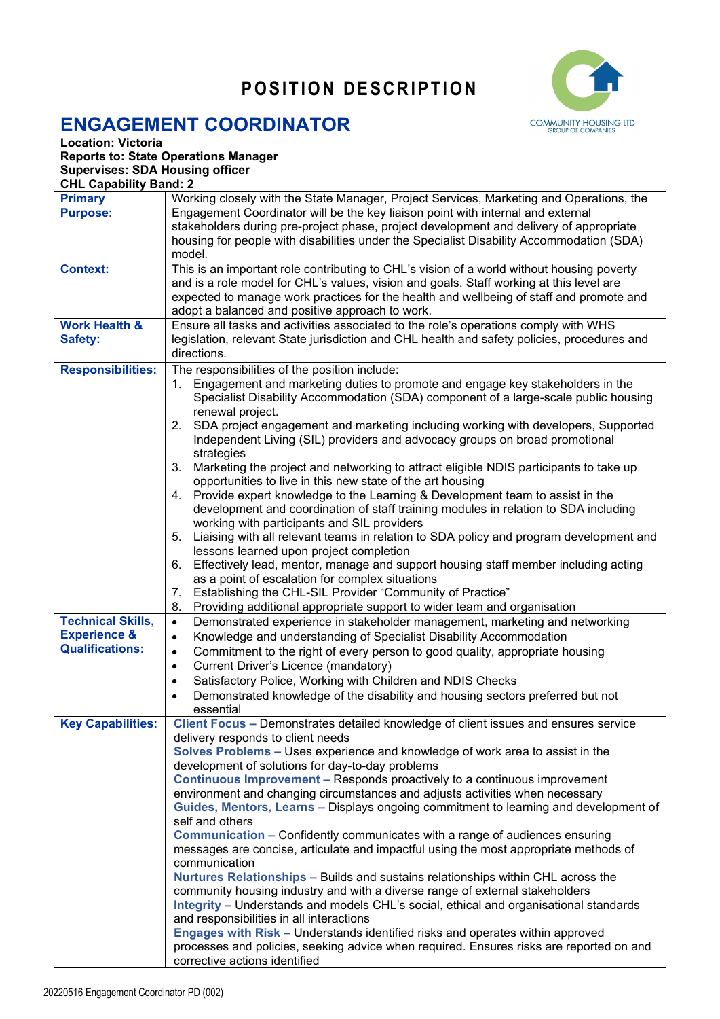## **POSITION DESCRIPTION**



## **ENGAGEMENT COORDINATOR**

**Location: Victoria**

**Reports to: State Operations Manager Supervises: SDA Housing officer** 

**CHL Capability Band: 2**

| <b>Primary</b>           | Working closely with the State Manager, Project Services, Marketing and Operations, the                                                                                            |
|--------------------------|------------------------------------------------------------------------------------------------------------------------------------------------------------------------------------|
| <b>Purpose:</b>          | Engagement Coordinator will be the key liaison point with internal and external                                                                                                    |
|                          | stakeholders during pre-project phase, project development and delivery of appropriate                                                                                             |
|                          | housing for people with disabilities under the Specialist Disability Accommodation (SDA)                                                                                           |
|                          | model.                                                                                                                                                                             |
| <b>Context:</b>          | This is an important role contributing to CHL's vision of a world without housing poverty                                                                                          |
|                          | and is a role model for CHL's values, vision and goals. Staff working at this level are<br>expected to manage work practices for the health and wellbeing of staff and promote and |
|                          | adopt a balanced and positive approach to work.                                                                                                                                    |
| <b>Work Health &amp;</b> | Ensure all tasks and activities associated to the role's operations comply with WHS                                                                                                |
| Safety:                  | legislation, relevant State jurisdiction and CHL health and safety policies, procedures and                                                                                        |
|                          | directions.                                                                                                                                                                        |
| <b>Responsibilities:</b> | The responsibilities of the position include:                                                                                                                                      |
|                          | 1. Engagement and marketing duties to promote and engage key stakeholders in the                                                                                                   |
|                          | Specialist Disability Accommodation (SDA) component of a large-scale public housing                                                                                                |
|                          | renewal project.                                                                                                                                                                   |
|                          | 2. SDA project engagement and marketing including working with developers, Supported                                                                                               |
|                          | Independent Living (SIL) providers and advocacy groups on broad promotional                                                                                                        |
|                          | strategies                                                                                                                                                                         |
|                          | 3. Marketing the project and networking to attract eligible NDIS participants to take up<br>opportunities to live in this new state of the art housing                             |
|                          | 4. Provide expert knowledge to the Learning & Development team to assist in the                                                                                                    |
|                          | development and coordination of staff training modules in relation to SDA including                                                                                                |
|                          | working with participants and SIL providers                                                                                                                                        |
|                          | 5. Liaising with all relevant teams in relation to SDA policy and program development and                                                                                          |
|                          | lessons learned upon project completion                                                                                                                                            |
|                          | 6. Effectively lead, mentor, manage and support housing staff member including acting                                                                                              |
|                          | as a point of escalation for complex situations                                                                                                                                    |
|                          | Establishing the CHL-SIL Provider "Community of Practice"<br>7.                                                                                                                    |
|                          | Providing additional appropriate support to wider team and organisation<br>8.                                                                                                      |
| <b>Technical Skills,</b> | Demonstrated experience in stakeholder management, marketing and networking<br>$\bullet$                                                                                           |
| <b>Experience &amp;</b>  | Knowledge and understanding of Specialist Disability Accommodation<br>$\bullet$                                                                                                    |
| <b>Qualifications:</b>   | Commitment to the right of every person to good quality, appropriate housing<br>$\bullet$                                                                                          |
|                          | Current Driver's Licence (mandatory)<br>$\bullet$                                                                                                                                  |
|                          | Satisfactory Police, Working with Children and NDIS Checks<br>$\bullet$                                                                                                            |
|                          | Demonstrated knowledge of the disability and housing sectors preferred but not<br>$\bullet$                                                                                        |
| <b>Key Capabilities:</b> | essential<br>Client Focus - Demonstrates detailed knowledge of client issues and ensures service                                                                                   |
|                          | delivery responds to client needs                                                                                                                                                  |
|                          | Solves Problems – Uses experience and knowledge of work area to assist in the                                                                                                      |
|                          | development of solutions for day-to-day problems                                                                                                                                   |
|                          | Continuous Improvement - Responds proactively to a continuous improvement                                                                                                          |
|                          | environment and changing circumstances and adjusts activities when necessary                                                                                                       |
|                          | Guides, Mentors, Learns - Displays ongoing commitment to learning and development of                                                                                               |
|                          | self and others                                                                                                                                                                    |
|                          | Communication - Confidently communicates with a range of audiences ensuring                                                                                                        |
|                          | messages are concise, articulate and impactful using the most appropriate methods of                                                                                               |
|                          | communication<br>Nurtures Relationships - Builds and sustains relationships within CHL across the                                                                                  |
|                          | community housing industry and with a diverse range of external stakeholders                                                                                                       |
|                          | Integrity - Understands and models CHL's social, ethical and organisational standards                                                                                              |
|                          | and responsibilities in all interactions                                                                                                                                           |
|                          | Engages with Risk - Understands identified risks and operates within approved                                                                                                      |
|                          | processes and policies, seeking advice when required. Ensures risks are reported on and                                                                                            |
|                          | corrective actions identified                                                                                                                                                      |